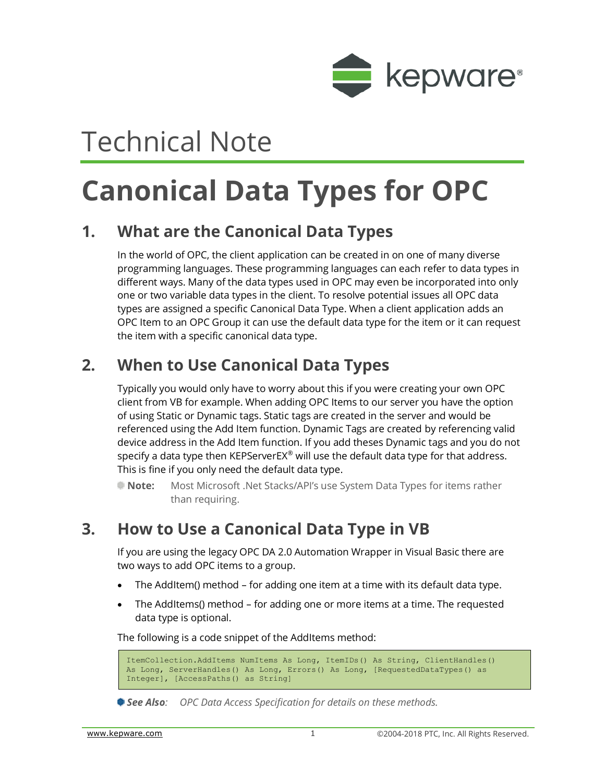

# Technical Note

# **Canonical Data Types for OPC**

## **1. What are the Canonical Data Types**

In the world of OPC, the client application can be created in on one of many diverse programming languages. These programming languages can each refer to data types in different ways. Many of the data types used in OPC may even be incorporated into only one or two variable data types in the client. To resolve potential issues all OPC data types are assigned a specific Canonical Data Type. When a client application adds an OPC Item to an OPC Group it can use the default data type for the item or it can request the item with a specific canonical data type.

## **2. When to Use Canonical Data Types**

Typically you would only have to worry about this if you were creating your own OPC client from VB for example. When adding OPC Items to our server you have the option of using Static or Dynamic tags. Static tags are created in the server and would be referenced using the Add Item function. Dynamic Tags are created by referencing valid device address in the Add Item function. If you add theses Dynamic tags and you do not specify a data type then KEPServerEX® will use the default data type for that address. This is fine if you only need the default data type.

**Note:** Most Microsoft .Net Stacks/API's use System Data Types for items rather than requiring.

#### **3. How to Use a Canonical Data Type in VB**

If you are using the legacy OPC DA 2.0 Automation Wrapper in Visual Basic there are two ways to add OPC items to a group.

- The AddItem() method for adding one item at a time with its default data type.
- The AddItems() method for adding one or more items at a time. The requested data type is optional.

The following is a code snippet of the AddItems method:

```
ItemCollection.AddItems NumItems As Long, ItemIDs() As String, ClientHandles() 
As Long, ServerHandles() As Long, Errors() As Long, [RequestedDataTypes() as 
Integer], [AccessPaths() as String]
```
*See Also: OPC Data Access Specification for details on these methods.*